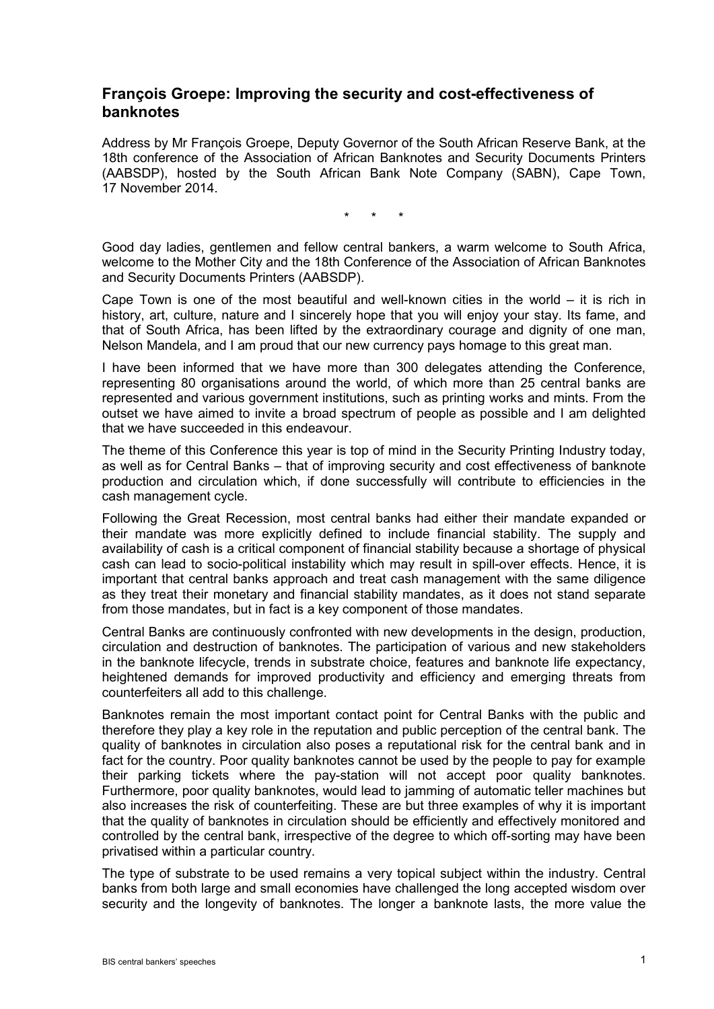## **François Groepe: Improving the security and cost-effectiveness of banknotes**

Address by Mr François Groepe, Deputy Governor of the South African Reserve Bank, at the 18th conference of the Association of African Banknotes and Security Documents Printers (AABSDP), hosted by the South African Bank Note Company (SABN), Cape Town, 17 November 2014.

\* \* \*

Good day ladies, gentlemen and fellow central bankers, a warm welcome to South Africa, welcome to the Mother City and the 18th Conference of the Association of African Banknotes and Security Documents Printers (AABSDP).

Cape Town is one of the most beautiful and well-known cities in the world  $-$  it is rich in history, art, culture, nature and I sincerely hope that you will enjoy your stay. Its fame, and that of South Africa, has been lifted by the extraordinary courage and dignity of one man, Nelson Mandela, and I am proud that our new currency pays homage to this great man.

I have been informed that we have more than 300 delegates attending the Conference, representing 80 organisations around the world, of which more than 25 central banks are represented and various government institutions, such as printing works and mints. From the outset we have aimed to invite a broad spectrum of people as possible and I am delighted that we have succeeded in this endeavour.

The theme of this Conference this year is top of mind in the Security Printing Industry today, as well as for Central Banks – that of improving security and cost effectiveness of banknote production and circulation which, if done successfully will contribute to efficiencies in the cash management cycle.

Following the Great Recession, most central banks had either their mandate expanded or their mandate was more explicitly defined to include financial stability. The supply and availability of cash is a critical component of financial stability because a shortage of physical cash can lead to socio-political instability which may result in spill-over effects. Hence, it is important that central banks approach and treat cash management with the same diligence as they treat their monetary and financial stability mandates, as it does not stand separate from those mandates, but in fact is a key component of those mandates.

Central Banks are continuously confronted with new developments in the design, production, circulation and destruction of banknotes. The participation of various and new stakeholders in the banknote lifecycle, trends in substrate choice, features and banknote life expectancy, heightened demands for improved productivity and efficiency and emerging threats from counterfeiters all add to this challenge.

Banknotes remain the most important contact point for Central Banks with the public and therefore they play a key role in the reputation and public perception of the central bank. The quality of banknotes in circulation also poses a reputational risk for the central bank and in fact for the country. Poor quality banknotes cannot be used by the people to pay for example their parking tickets where the pay-station will not accept poor quality banknotes. Furthermore, poor quality banknotes, would lead to jamming of automatic teller machines but also increases the risk of counterfeiting. These are but three examples of why it is important that the quality of banknotes in circulation should be efficiently and effectively monitored and controlled by the central bank, irrespective of the degree to which off-sorting may have been privatised within a particular country.

The type of substrate to be used remains a very topical subject within the industry. Central banks from both large and small economies have challenged the long accepted wisdom over security and the longevity of banknotes. The longer a banknote lasts, the more value the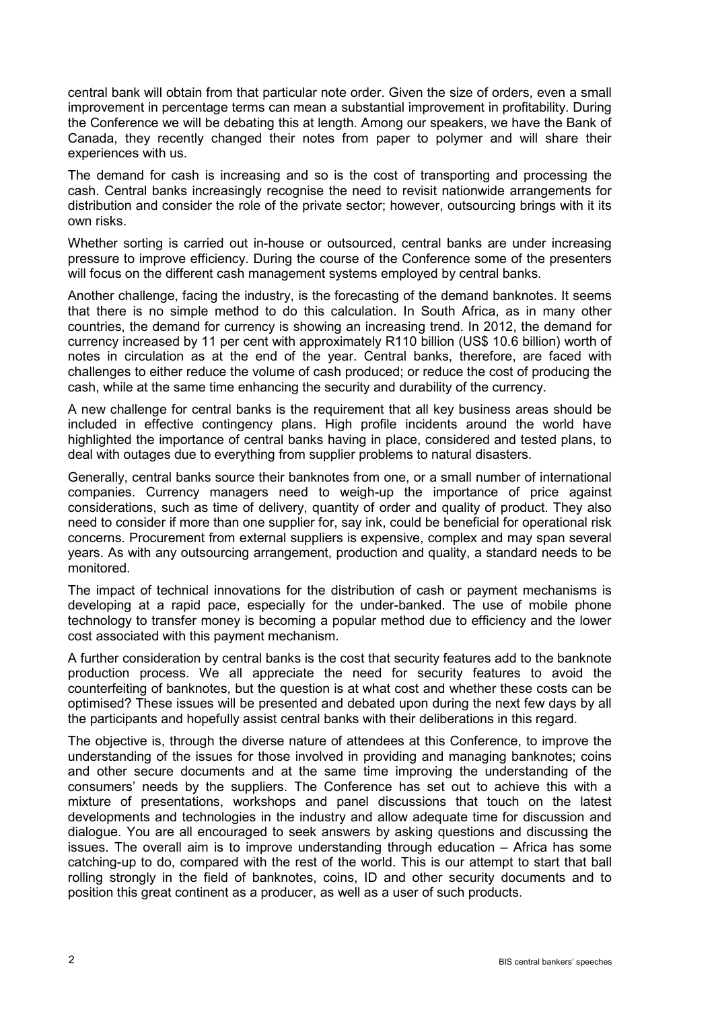central bank will obtain from that particular note order. Given the size of orders, even a small improvement in percentage terms can mean a substantial improvement in profitability. During the Conference we will be debating this at length. Among our speakers, we have the Bank of Canada, they recently changed their notes from paper to polymer and will share their experiences with us.

The demand for cash is increasing and so is the cost of transporting and processing the cash. Central banks increasingly recognise the need to revisit nationwide arrangements for distribution and consider the role of the private sector; however, outsourcing brings with it its own risks.

Whether sorting is carried out in-house or outsourced, central banks are under increasing pressure to improve efficiency. During the course of the Conference some of the presenters will focus on the different cash management systems employed by central banks.

Another challenge, facing the industry, is the forecasting of the demand banknotes. It seems that there is no simple method to do this calculation. In South Africa, as in many other countries, the demand for currency is showing an increasing trend. In 2012, the demand for currency increased by 11 per cent with approximately R110 billion (US\$ 10.6 billion) worth of notes in circulation as at the end of the year. Central banks, therefore, are faced with challenges to either reduce the volume of cash produced; or reduce the cost of producing the cash, while at the same time enhancing the security and durability of the currency.

A new challenge for central banks is the requirement that all key business areas should be included in effective contingency plans. High profile incidents around the world have highlighted the importance of central banks having in place, considered and tested plans, to deal with outages due to everything from supplier problems to natural disasters.

Generally, central banks source their banknotes from one, or a small number of international companies. Currency managers need to weigh-up the importance of price against considerations, such as time of delivery, quantity of order and quality of product. They also need to consider if more than one supplier for, say ink, could be beneficial for operational risk concerns. Procurement from external suppliers is expensive, complex and may span several years. As with any outsourcing arrangement, production and quality, a standard needs to be monitored.

The impact of technical innovations for the distribution of cash or payment mechanisms is developing at a rapid pace, especially for the under-banked. The use of mobile phone technology to transfer money is becoming a popular method due to efficiency and the lower cost associated with this payment mechanism.

A further consideration by central banks is the cost that security features add to the banknote production process. We all appreciate the need for security features to avoid the counterfeiting of banknotes, but the question is at what cost and whether these costs can be optimised? These issues will be presented and debated upon during the next few days by all the participants and hopefully assist central banks with their deliberations in this regard.

The objective is, through the diverse nature of attendees at this Conference, to improve the understanding of the issues for those involved in providing and managing banknotes; coins and other secure documents and at the same time improving the understanding of the consumers' needs by the suppliers. The Conference has set out to achieve this with a mixture of presentations, workshops and panel discussions that touch on the latest developments and technologies in the industry and allow adequate time for discussion and dialogue. You are all encouraged to seek answers by asking questions and discussing the issues. The overall aim is to improve understanding through education – Africa has some catching-up to do, compared with the rest of the world. This is our attempt to start that ball rolling strongly in the field of banknotes, coins, ID and other security documents and to position this great continent as a producer, as well as a user of such products.